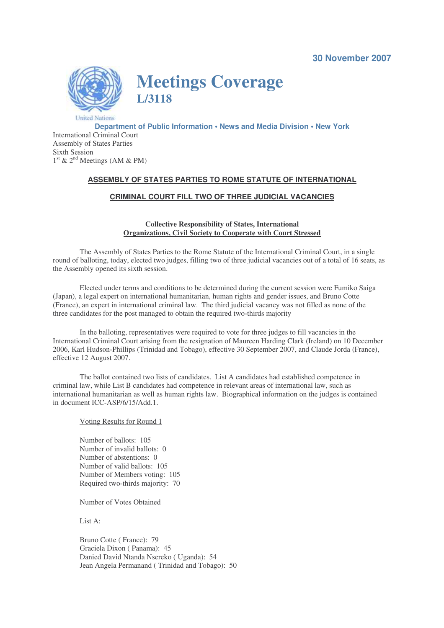

**Meetings Coverage L/3118**

**Department of Public Information • News and Media Division • New York** International Criminal Court Assembly of States Parties Sixth Session 1<sup>st</sup> & 2<sup>nd</sup> Meetings (AM & PM)

## **ASSEMBLY OF STATES PARTIES TO ROME STATUTE OF INTERNATIONAL**

## **CRIMINAL COURT FILL TWO OF THREE JUDICIAL VACANCIES**

## **Collective Responsibility of States, International Organizations, Civil Society to Cooperate with Court Stressed**

The Assembly of States Parties to the Rome Statute of the International Criminal Court, in a single round of balloting, today, elected two judges, filling two of three judicial vacancies out of a total of 16 seats, as the Assembly opened its sixth session.

Elected under terms and conditions to be determined during the current session were Fumiko Saiga (Japan), a legal expert on international humanitarian, human rights and gender issues, and Bruno Cotte (France), an expert in international criminal law. The third judicial vacancy was not filled as none of the three candidates for the post managed to obtain the required two-thirds majority

In the balloting, representatives were required to vote for three judges to fill vacancies in the International Criminal Court arising from the resignation of Maureen Harding Clark (Ireland) on 10 December 2006, Karl Hudson-Phillips (Trinidad and Tobago), effective 30 September 2007, and Claude Jorda (France), effective 12 August 2007.

The ballot contained two lists of candidates. List A candidates had established competence in criminal law, while List B candidates had competence in relevant areas of international law, such as international humanitarian as well as human rights law. Biographical information on the judges is contained in document ICC-ASP/6/15/Add.1.

## Voting Results for Round 1

Number of ballots: 105 Number of invalid ballots: 0 Number of abstentions: 0 Number of valid ballots: 105 Number of Members voting: 105 Required two-thirds majority: 70

Number of Votes Obtained

List A:

Bruno Cotte ( France): 79 Graciela Dixon ( Panama): 45 Danied David Ntanda Nsereko ( Uganda): 54 Jean Angela Permanand ( Trinidad and Tobago): 50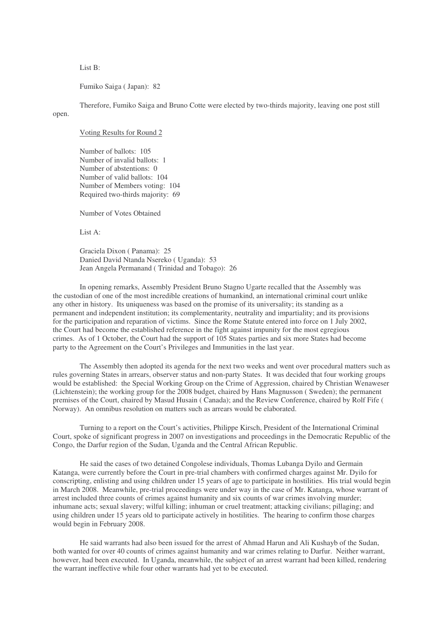List B:

Fumiko Saiga ( Japan): 82

open.

Therefore, Fumiko Saiga and Bruno Cotte were elected by two-thirds majority, leaving one post still

Voting Results for Round 2

Number of ballots: 105 Number of invalid ballots: 1 Number of abstentions: 0 Number of valid ballots: 104 Number of Members voting: 104 Required two-thirds majority: 69

Number of Votes Obtained

List A:

Graciela Dixon ( Panama): 25 Danied David Ntanda Nsereko ( Uganda): 53 Jean Angela Permanand ( Trinidad and Tobago): 26

In opening remarks, Assembly President Bruno Stagno Ugarte recalled that the Assembly was the custodian of one of the most incredible creations of humankind, an international criminal court unlike any other in history. Its uniqueness was based on the promise of its universality; its standing as a permanent and independent institution; its complementarity, neutrality and impartiality; and its provisions for the participation and reparation of victims. Since the Rome Statute entered into force on 1 July 2002, the Court had become the established reference in the fight against impunity for the most egregious crimes. As of 1 October, the Court had the support of 105 States parties and six more States had become party to the Agreement on the Court's Privileges and Immunities in the last year.

The Assembly then adopted its agenda for the next two weeks and went over procedural matters such as rules governing States in arrears, observer status and non-party States. It was decided that four working groups would be established: the Special Working Group on the Crime of Aggression, chaired by Christian Wenaweser (Lichtenstein); the working group for the 2008 budget, chaired by Hans Magnusson ( Sweden); the permanent premises of the Court, chaired by Masud Husain ( Canada); and the Review Conference, chaired by Rolf Fife ( Norway). An omnibus resolution on matters such as arrears would be elaborated.

Turning to a report on the Court's activities, Philippe Kirsch, President of the International Criminal Court, spoke of significant progress in 2007 on investigations and proceedings in the Democratic Republic of the Congo, the Darfur region of the Sudan, Uganda and the Central African Republic.

He said the cases of two detained Congolese individuals, Thomas Lubanga Dyilo and Germain Katanga, were currently before the Court in pre-trial chambers with confirmed charges against Mr. Dyilo for conscripting, enlisting and using children under 15 years of age to participate in hostilities. His trial would begin in March 2008. Meanwhile, pre-trial proceedings were under way in the case of Mr. Katanga, whose warrant of arrest included three counts of crimes against humanity and six counts of war crimes involving murder; inhumane acts; sexual slavery; wilful killing; inhuman or cruel treatment; attacking civilians; pillaging; and using children under 15 years old to participate actively in hostilities. The hearing to confirm those charges would begin in February 2008.

He said warrants had also been issued for the arrest of Ahmad Harun and Ali Kushayb of the Sudan, both wanted for over 40 counts of crimes against humanity and war crimes relating to Darfur. Neither warrant, however, had been executed. In Uganda, meanwhile, the subject of an arrest warrant had been killed, rendering the warrant ineffective while four other warrants had yet to be executed.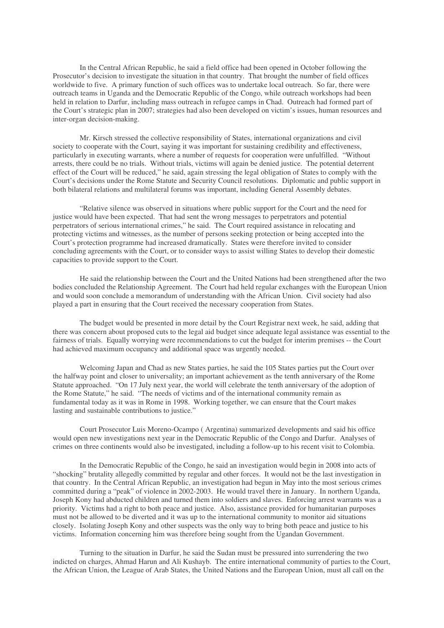In the Central African Republic, he said a field office had been opened in October following the Prosecutor's decision to investigate the situation in that country. That brought the number of field offices worldwide to five. A primary function of such offices was to undertake local outreach. So far, there were outreach teams in Uganda and the Democratic Republic of the Congo, while outreach workshops had been held in relation to Darfur, including mass outreach in refugee camps in Chad. Outreach had formed part of the Court's strategic plan in 2007; strategies had also been developed on victim's issues, human resources and inter-organ decision-making.

Mr. Kirsch stressed the collective responsibility of States, international organizations and civil society to cooperate with the Court, saying it was important for sustaining credibility and effectiveness, particularly in executing warrants, where a number of requests for cooperation were unfulfilled. "Without arrests, there could be no trials. Without trials, victims will again be denied justice. The potential deterrent effect of the Court will be reduced," he said, again stressing the legal obligation of States to comply with the Court's decisions under the Rome Statute and Security Council resolutions. Diplomatic and public support in both bilateral relations and multilateral forums was important, including General Assembly debates.

"Relative silence was observed in situations where public support for the Court and the need for justice would have been expected. That had sent the wrong messages to perpetrators and potential perpetrators of serious international crimes," he said. The Court required assistance in relocating and protecting victims and witnesses, as the number of persons seeking protection or being accepted into the Court's protection programme had increased dramatically. States were therefore invited to consider concluding agreements with the Court, or to consider ways to assist willing States to develop their domestic capacities to provide support to the Court.

He said the relationship between the Court and the United Nations had been strengthened after the two bodies concluded the Relationship Agreement. The Court had held regular exchanges with the European Union and would soon conclude a memorandum of understanding with the African Union. Civil society had also played a part in ensuring that the Court received the necessary cooperation from States.

The budget would be presented in more detail by the Court Registrar next week, he said, adding that there was concern about proposed cuts to the legal aid budget since adequate legal assistance was essential to the fairness of trials. Equally worrying were recommendations to cut the budget for interim premises -- the Court had achieved maximum occupancy and additional space was urgently needed.

Welcoming Japan and Chad as new States parties, he said the 105 States parties put the Court over the halfway point and closer to universality; an important achievement as the tenth anniversary of the Rome Statute approached. "On 17 July next year, the world will celebrate the tenth anniversary of the adoption of the Rome Statute," he said. "The needs of victims and of the international community remain as fundamental today as it was in Rome in 1998. Working together, we can ensure that the Court makes lasting and sustainable contributions to justice."

Court Prosecutor Luis Moreno-Ocampo ( Argentina) summarized developments and said his office would open new investigations next year in the Democratic Republic of the Congo and Darfur. Analyses of crimes on three continents would also be investigated, including a follow-up to his recent visit to Colombia.

In the Democratic Republic of the Congo, he said an investigation would begin in 2008 into acts of "shocking" brutality allegedly committed by regular and other forces. It would not be the last investigation in that country. In the Central African Republic, an investigation had begun in May into the most serious crimes committed during a "peak" of violence in 2002-2003. He would travel there in January. In northern Uganda, Joseph Kony had abducted children and turned them into soldiers and slaves. Enforcing arrest warrants was a priority. Victims had a right to both peace and justice. Also, assistance provided for humanitarian purposes must not be allowed to be diverted and it was up to the international community to monitor aid situations closely. Isolating Joseph Kony and other suspects was the only way to bring both peace and justice to his victims. Information concerning him was therefore being sought from the Ugandan Government.

Turning to the situation in Darfur, he said the Sudan must be pressured into surrendering the two indicted on charges, Ahmad Harun and Ali Kushayb. The entire international community of parties to the Court, the African Union, the League of Arab States, the United Nations and the European Union, must all call on the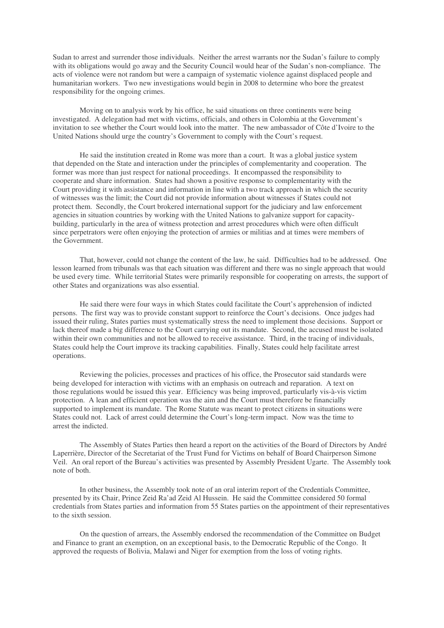Sudan to arrest and surrender those individuals. Neither the arrest warrants nor the Sudan's failure to comply with its obligations would go away and the Security Council would hear of the Sudan's non-compliance. The acts of violence were not random but were a campaign of systematic violence against displaced people and humanitarian workers. Two new investigations would begin in 2008 to determine who bore the greatest responsibility for the ongoing crimes.

Moving on to analysis work by his office, he said situations on three continents were being investigated. A delegation had met with victims, officials, and others in Colombia at the Government's invitation to see whether the Court would look into the matter. The new ambassador of Côte d'Ivoire to the United Nations should urge the country's Government to comply with the Court's request.

He said the institution created in Rome was more than a court. It was a global justice system that depended on the State and interaction under the principles of complementarity and cooperation. The former was more than just respect for national proceedings. It encompassed the responsibility to cooperate and share information. States had shown a positive response to complementarity with the Court providing it with assistance and information in line with a two track approach in which the security of witnesses was the limit; the Court did not provide information about witnesses if States could not protect them. Secondly, the Court brokered international support for the judiciary and law enforcement agencies in situation countries by working with the United Nations to galvanize support for capacitybuilding, particularly in the area of witness protection and arrest procedures which were often difficult since perpetrators were often enjoying the protection of armies or militias and at times were members of the Government.

That, however, could not change the content of the law, he said. Difficulties had to be addressed. One lesson learned from tribunals was that each situation was different and there was no single approach that would be used every time. While territorial States were primarily responsible for cooperating on arrests, the support of other States and organizations was also essential.

He said there were four ways in which States could facilitate the Court's apprehension of indicted persons. The first way was to provide constant support to reinforce the Court's decisions. Once judges had issued their ruling, States parties must systematically stress the need to implement those decisions. Support or lack thereof made a big difference to the Court carrying out its mandate. Second, the accused must be isolated within their own communities and not be allowed to receive assistance. Third, in the tracing of individuals, States could help the Court improve its tracking capabilities. Finally, States could help facilitate arrest operations.

Reviewing the policies, processes and practices of his office, the Prosecutor said standards were being developed for interaction with victims with an emphasis on outreach and reparation. A text on those regulations would be issued this year. Efficiency was being improved, particularly vis-à-vis victim protection. A lean and efficient operation was the aim and the Court must therefore be financially supported to implement its mandate. The Rome Statute was meant to protect citizens in situations were States could not. Lack of arrest could determine the Court's long-term impact. Now was the time to arrest the indicted.

The Assembly of States Parties then heard a report on the activities of the Board of Directors by André Laperrière, Director of the Secretariat of the Trust Fund for Victims on behalf of Board Chairperson Simone Veil. An oral report of the Bureau's activities was presented by Assembly President Ugarte. The Assembly took note of both.

In other business, the Assembly took note of an oral interim report of the Credentials Committee, presented by its Chair, Prince Zeid Ra'ad Zeid Al Hussein. He said the Committee considered 50 formal credentials from States parties and information from 55 States parties on the appointment of their representatives to the sixth session.

On the question of arrears, the Assembly endorsed the recommendation of the Committee on Budget and Finance to grant an exemption, on an exceptional basis, to the Democratic Republic of the Congo. It approved the requests of Bolivia, Malawi and Niger for exemption from the loss of voting rights.